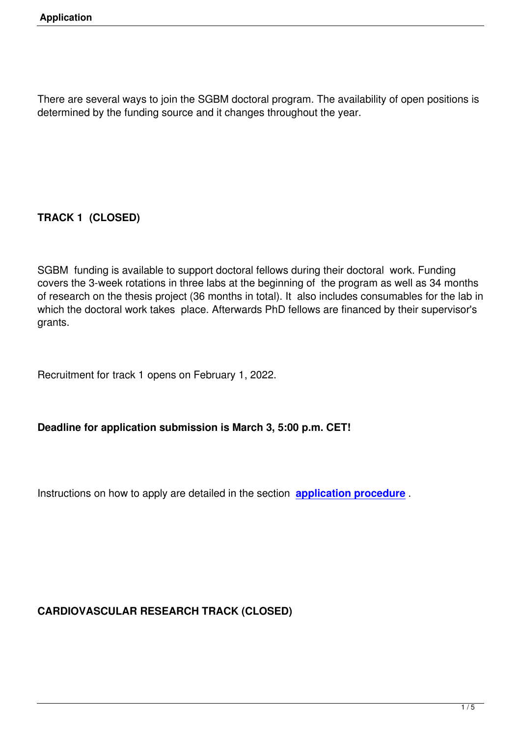There are several ways to join the SGBM doctoral program. The availability of open positions is determined by the funding source and it changes throughout the year.

# **TRACK 1 (CLOSED)**

SGBM funding is available to support doctoral fellows during their doctoral work. Funding covers the 3-week rotations in three labs at the beginning of the program as well as 34 months of research on the thesis project (36 months in total). It also includes consumables for the lab in which the doctoral work takes place. Afterwards PhD fellows are financed by their supervisor's grants.

Recruitment for track 1 opens on February 1, 2022.

## **Deadline for application submission is March 3, 5:00 p.m. CET!**

Instructions on how to apply are detailed in the section **application procedure** .

## **CARDIOVASCULAR RESEARCH TRACK (CLOSED)**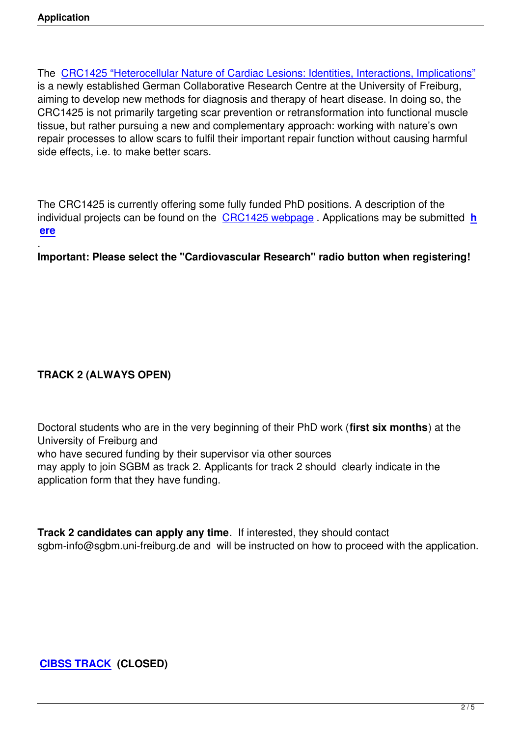The CRC1425 "Heterocellular Nature of Cardiac Lesions: Identities, Interactions, Implications" is a newly established German Collaborative Research Centre at the University of Freiburg, aiming to develop new methods for diagnosis and therapy of heart disease. In doing so, the CRC[1425 is not primarily targeting scar prevention or retransformation into functional muscle](https://www.sfb1425.uni-freiburg.de/) tissue, but rather pursuing a new and complementary approach: working with nature's own repair processes to allow scars to fulfil their important repair function without causing harmful side effects, i.e. to make better scars.

The CRC1425 is currently offering some fully funded PhD positions. A description of the individual projects can be found on the CRC1425 webpage . Applications may be submitted **h ere**

. **Important: Please select the "Cardio[vascular Research"](https://www.sfb1425.uni-freiburg.de/) radio button when registering!**

## **TRACK 2 (ALWAYS OPEN)**

Doctoral students who are in the very beginning of their PhD work (**first six months**) at the University of Freiburg and who have secured funding by their supervisor via other sources may apply to join SGBM as track 2. Applicants for track 2 should clearly indicate in the application form that they have funding.

**Track 2 candidates can apply any time**. If interested, they should contact sgbm-info@sgbm.uni-freiburg.de and will be instructed on how to proceed with the application.

**CIBSS TRACK (CLOSED)**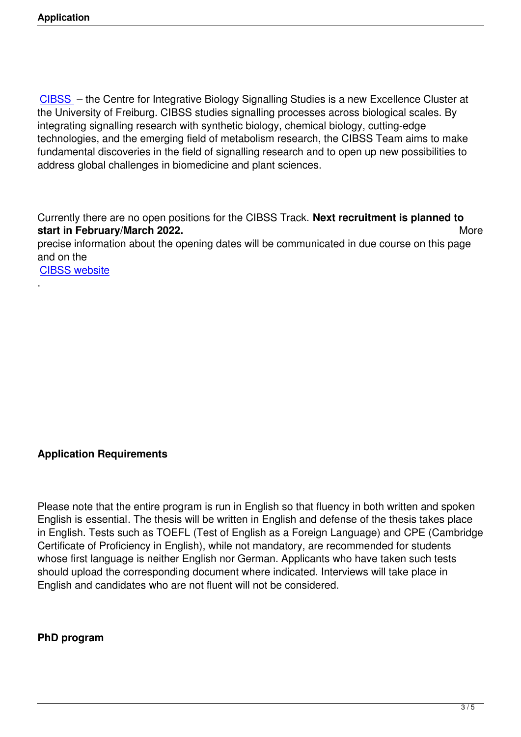CIBSS – the Centre for Integrative Biology Signalling Studies is a new Excellence Cluster at the University of Freiburg. CIBSS studies signalling processes across biological scales. By integrating signalling research with synthetic biology, chemical biology, cutting-edge [technolo](https://www.cibss.uni-freiburg.de/about/home/)gies, and the emerging field of metabolism research, the CIBSS Team aims to make fundamental discoveries in the field of signalling research and to open up new possibilities to address global challenges in biomedicine and plant sciences.

Currently there are no open positions for the CIBSS Track. **Next recruitment is planned to start in February/March 2022.** More precise information about the opening dates will be communicated in due course on this page and on the

CIBSS website

.

## **Application Requirements**

Please note that the entire program is run in English so that fluency in both written and spoken English is essential. The thesis will be written in English and defense of the thesis takes place in English. Tests such as TOEFL (Test of English as a Foreign Language) and CPE (Cambridge Certificate of Proficiency in English), while not mandatory, are recommended for students whose first language is neither English nor German. Applicants who have taken such tests should upload the corresponding document where indicated. Interviews will take place in English and candidates who are not fluent will not be considered.

#### **PhD program**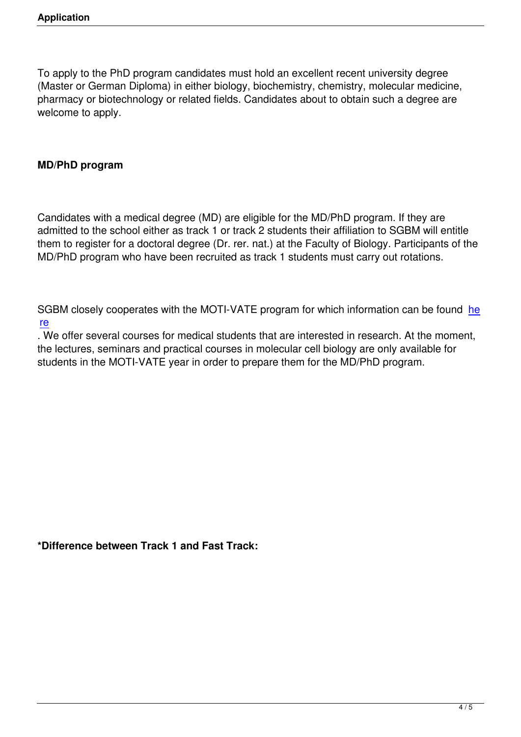To apply to the PhD program candidates must hold an excellent recent university degree (Master or German Diploma) in either biology, biochemistry, chemistry, molecular medicine, pharmacy or biotechnology or related fields. Candidates about to obtain such a degree are welcome to apply.

### **MD/PhD program**

Candidates with a medical degree (MD) are eligible for the MD/PhD program. If they are admitted to the school either as track 1 or track 2 students their affiliation to SGBM will entitle them to register for a doctoral degree (Dr. rer. nat.) at the Faculty of Biology. Participants of the MD/PhD program who have been recruited as track 1 students must carry out rotations.

SGBM closely cooperates with the MOTI-VATE program for which information can be found he re

. We offer several courses for medical students that are interested in research. At the moment, the lectures, seminars and practical courses in molecular cell biology are only available for [stu](http://www.med.uni-freiburg.de/de/verwaltung/akademische-angelegenheiten/promotionen-1/moti-vate)dents in the MOTI-VATE year in order to prepare them for the MD/PhD program.

**\*Difference between Track 1 and Fast Track:**